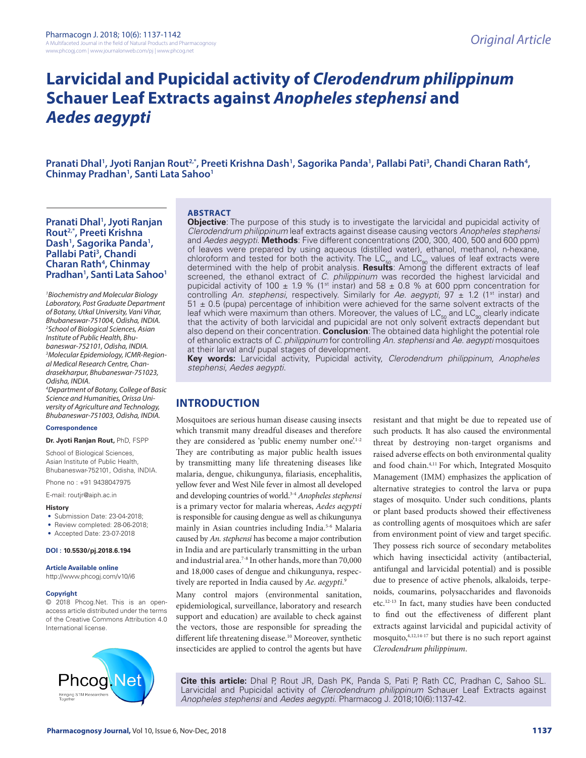# **Larvicidal and Pupicidal activity of** *Clerodendrum philippinum* **Schauer Leaf Extracts against** *Anopheles stephensi* **and**  *Aedes aegypti*

Pranati Dhal', Jyoti Ranjan Rout<sup>2,</sup>\*, Preeti Krishna Dash', Sagorika Panda', Pallabi Pati<sup>3</sup>, Chandi Charan Rath<del>'</del>,<br>Chinmay Pradhan', Santi Lata Sahoo' Chinmay Pradhan<sup>1</sup>, Santi Lata Sahoo<sup>1</sup>

### **Pranati Dhal1 , Jyoti Ranjan Rout2,\*, Preeti Krishna**  Dash<sup>1</sup>, Sagorika Panda<sup>1</sup>, **Pallabi Pati3 , Chandi Charan Rath4 , Chinmay Pradhan1 , Santi Lata Sahoo1**

*1 Biochemistry and Molecular Biology Laboratory, Post Graduate Department of Botany, Utkal University, Vani Vihar, Bhubaneswar-751004, Odisha, INDIA. 2 School of Biological Sciences, Asian Institute of Public Health, Bhubaneswar-752101, Odisha, INDIA. 3 Molecular Epidemiology, ICMR-Regional Medical Research Centre, Chandrasekharpur, Bhubaneswar-751023, Odisha, INDIA.* 

*4 Department of Botany, College of Basic Science and Humanities, Orissa University of Agriculture and Technology, Bhubaneswar-751003, Odisha, INDIA.*

#### **Correspondence**

**Dr. Jyoti Ranjan Rout,** PhD, FSPP

School of Biological Sciences, Asian Institute of Public Health, Bhubaneswar-752101, Odisha, INDIA.

Phone no : +91 9438047975

E-mail: routjr@aiph.ac.in

#### **History**

- Submission Date: 23-04-2018;
- Review completed: 28-06-2018;
- Accepted Date: 23-07-2018

#### **DOI : 10.5530/pj.2018.6.194**

**Article Available online** 

http://www.phcogj.com/v10/i6

#### **Copyright**

© 2018 Phcog.Net. This is an openaccess article distributed under the terms of the Creative Commons Attribution 4.0 International license.



#### **ABSTRACT**

**Objective**: The purpose of this study is to investigate the larvicidal and pupicidal activity of *Clerodendrum philippinum* leaf extracts against disease causing vectors *Anopheles stephensi* and *Aedes aegypti*. **Methods**: Five different concentrations (200, 300, 400, 500 and 600 ppm) of leaves were prepared by using aqueous (distilled water), ethanol, methanol, n-hexane, chloroform and tested for both the activity. The LC<sub>50</sub> and LC<sub>90</sub> values of leaf extracts were<br>determined with the help of probit analysis. **Results**: Among the different extracts of leaf screened, the ethanol extract of *C. philippinum* was recorded the highest larvicidal and pupicidal activity of 100  $\pm$  1.9 % (1<sup>st</sup> instar) and 58  $\pm$  0.8 % at 600 ppm concentration for controlling An. stephensi, respectively. Similarly for Ae. aegypti, 97  $\pm$  1.2 (1<sup>st</sup> instar) and  $51 \pm 0.5$  (pupa) percentage of inhibition were achieved for the same solvent extracts of the leaf which were maximum than others. Moreover, the values of  $LC_{50}$  and  $LC_{90}$  clearly indicate that the activity of both larvicidal and pupicidal are not only solvent extracts dependant but also depend on their concentration. **Conclusion**: The obtained data highlight the potential role of ethanolic extracts of *C. philippinum* for controlling *An. stephensi* and *Ae. aegypti* mosquitoes at their larval and/ pupal stages of development.

**Key words:** Larvicidal activity, Pupicidal activity, *Clerodendrum philippinum, Anopheles stephensi*, *Aedes aegypti.*

### **INTRODUCTION**

Mosquitoes are serious human disease causing insects which transmit many dreadful diseases and therefore they are considered as 'public enemy number one'.<sup>1-2</sup> They are contributing as major public health issues by transmitting many life threatening diseases like malaria, dengue, chikungunya, filariasis, encephalitis, yellow fever and West Nile fever in almost all developed and developing countries of world.3-4 *Anopheles stephensi* is a primary vector for malaria whereas, *Aedes aegypti* is responsible for causing dengue as well as chikungunya mainly in Asian countries including India.5-6 Malaria caused by *An. stephensi* has become a major contribution in India and are particularly transmitting in the urban and industrial area.7-8 In other hands, more than 70,000 and 18,000 cases of dengue and chikungunya, respectively are reported in India caused by *Ae. aegypti*. 9

Many control majors (environmental sanitation, epidemiological, surveillance, laboratory and research support and education) are available to check against the vectors, those are responsible for spreading the different life threatening disease.10 Moreover, synthetic insecticides are applied to control the agents but have

resistant and that might be due to repeated use of such products. It has also caused the environmental threat by destroying non-target organisms and raised adverse effects on both environmental quality and food chain.4,11 For which, Integrated Mosquito Management (IMM) emphasizes the application of alternative strategies to control the larva or pupa stages of mosquito. Under such conditions, plants or plant based products showed their effectiveness as controlling agents of mosquitoes which are safer from environment point of view and target specific. They possess rich source of secondary metabolites which having insecticidal activity (antibacterial, antifungal and larvicidal potential) and is possible due to presence of active phenols, alkaloids, terpenoids, coumarins, polysaccharides and flavonoids etc.12-13 In fact, many studies have been conducted to find out the effectiveness of different plant extracts against larvicidal and pupicidal activity of mosquito,4,12,14-17 but there is no such report against *Clerodendrum philippinum*.

**Cite this article:** Dhal P, Rout JR, Dash PK, Panda S, Pati P, Rath CC, Pradhan C, Sahoo SL. Larvicidal and Pupicidal activity of *Clerodendrum philippinum* Schauer Leaf Extracts against *Anopheles stephensi* and *Aedes aegypti*. Pharmacog J. 2018;10(6):1137-42.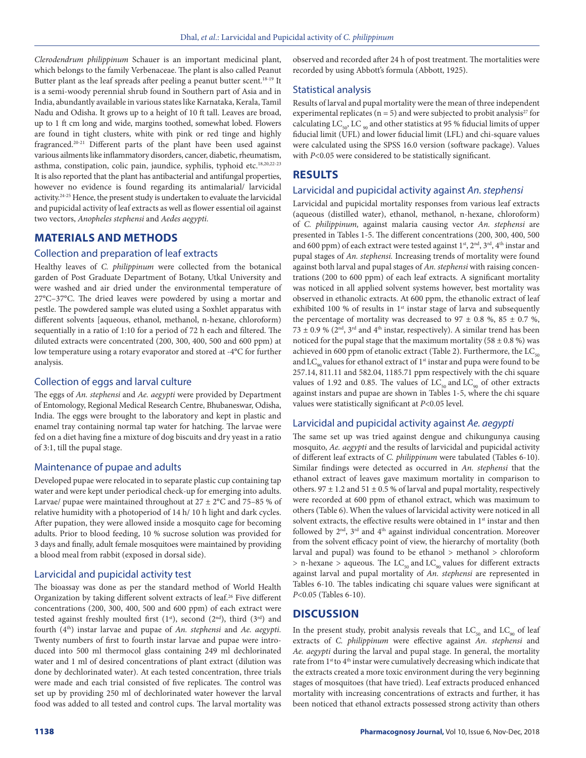*Clerodendrum philippinum* Schauer is an important medicinal plant, which belongs to the family Verbenaceae. The plant is also called Peanut Butter plant as the leaf spreads after peeling a peanut butter scent.<sup>18-19</sup> It is a semi-woody perennial shrub found in Southern part of Asia and in India, abundantly available in various states like Karnataka, Kerala, Tamil Nadu and Odisha. It grows up to a height of 10 ft tall. Leaves are broad, up to 1 ft cm long and wide, margins toothed, somewhat lobed. Flowers are found in tight clusters, white with pink or red tinge and highly fragranced.20-21 Different parts of the plant have been used against various ailments like inflammatory disorders, cancer, diabetic, rheumatism, asthma, constipation, colic pain, jaundice, syphilis, typhoid etc.18,20,22-23 It is also reported that the plant has antibacterial and antifungal properties, however no evidence is found regarding its antimalarial/ larvicidal activity.24-25 Hence, the present study is undertaken to evaluate the larvicidal and pupicidal activity of leaf extracts as well as flower essential oil against two vectors, *Anopheles stephensi* and *Aedes aegypti.*

### **MATERIALS AND METHODS**

### Collection and preparation of leaf extracts

Healthy leaves of *C. philippinum* were collected from the botanical garden of Post Graduate Department of Botany, Utkal University and were washed and air dried under the environmental temperature of 27°C–37°C. The dried leaves were powdered by using a mortar and pestle. The powdered sample was eluted using a Soxhlet apparatus with different solvents [aqueous, ethanol, methanol, n-hexane, chloroform) sequentially in a ratio of 1:10 for a period of 72 h each and filtered. The diluted extracts were concentrated (200, 300, 400, 500 and 600 ppm) at low temperature using a rotary evaporator and stored at -4°C for further analysis.

### Collection of eggs and larval culture

The eggs of *An. stephensi* and *Ae. aegypti* were provided by Department of Entomology, Regional Medical Research Centre, Bhubaneswar, Odisha, India. The eggs were brought to the laboratory and kept in plastic and enamel tray containing normal tap water for hatching. The larvae were fed on a diet having fine a mixture of dog biscuits and dry yeast in a ratio of 3:1, till the pupal stage.

### Maintenance of pupae and adults

Developed pupae were relocated in to separate plastic cup containing tap water and were kept under periodical check-up for emerging into adults. Larvae/ pupae were maintained throughout at  $27 \pm 2$ °C and  $75-85$  % of relative humidity with a photoperiod of 14 h/ 10 h light and dark cycles. After pupation, they were allowed inside a mosquito cage for becoming adults. Prior to blood feeding, 10 % sucrose solution was provided for 3 days and finally, adult female mosquitoes were maintained by providing a blood meal from rabbit (exposed in dorsal side).

### Larvicidal and pupicidal activity test

The bioassay was done as per the standard method of World Health Organization by taking different solvent extracts of leaf.<sup>26</sup> Five different concentrations (200, 300, 400, 500 and 600 ppm) of each extract were tested against freshly moulted first  $(1<sup>st</sup>)$ , second  $(2<sup>nd</sup>)$ , third  $(3<sup>rd</sup>)$  and fourth (4th) instar larvae and pupae of *An. stephensi* and *Ae. aegypti.* Twenty numbers of first to fourth instar larvae and pupae were introduced into 500 ml thermocol glass containing 249 ml dechlorinated water and 1 ml of desired concentrations of plant extract (dilution was done by dechlorinated water). At each tested concentration, three trials were made and each trial consisted of five replicates. The control was set up by providing 250 ml of dechlorinated water however the larval food was added to all tested and control cups. The larval mortality was observed and recorded after 24 h of post treatment. The mortalities were recorded by using Abbott's formula (Abbott, 1925).

### Statistical analysis

Results of larval and pupal mortality were the mean of three independent experimental replicates ( $n = 5$ ) and were subjected to probit analysis<sup>27</sup> for calculating LC<sub>50</sub>, LC<sub>90</sub> and other statistics at 95 % fiducial limits of upper fiducial limit (UFL) and lower fiducial limit (LFL) and chi-square values were calculated using the SPSS 16.0 version (software package). Values with *P*<0.05 were considered to be statistically significant.

### **RESULTS**

### Larvicidal and pupicidal activity against *An. stephensi*

Larvicidal and pupicidal mortality responses from various leaf extracts (aqueous (distilled water), ethanol, methanol, n-hexane, chloroform) of *C. philippinum,* against malaria causing vector *An. stephensi* are presented in Tables 1-5. The different concentrations (200, 300, 400, 500 and 600 ppm) of each extract were tested against  $1<sup>st</sup>$ ,  $2<sup>nd</sup>$ ,  $3<sup>rd</sup>$ ,  $4<sup>th</sup>$  instar and pupal stages of *An. stephensi.* Increasing trends of mortality were found against both larval and pupal stages of *An. stephensi* with raising concentrations (200 to 600 ppm) of each leaf extracts. A significant mortality was noticed in all applied solvent systems however, best mortality was observed in ethanolic extracts. At 600 ppm, the ethanolic extract of leaf exhibited 100 % of results in  $1<sup>st</sup>$  instar stage of larva and subsequently the percentage of mortality was decreased to  $97 \pm 0.8$  %,  $85 \pm 0.7$  %, 73  $\pm$  0.9 % (2<sup>nd</sup>, 3<sup>rd</sup> and 4<sup>th</sup> instar, respectively). A similar trend has been noticed for the pupal stage that the maximum mortality (58  $\pm$  0.8 %) was achieved in 600 ppm of etanolic extract (Table 2). Furthermore, the  $LC_{50}$ and  $LC_{\text{on}}$  values for ethanol extract of 1<sup>st</sup> instar and pupa were found to be 257.14, 811.11 and 582.04, 1185.71 ppm respectively with the chi square values of 1.92 and 0.85. The values of  $LC_{50}$  and  $LC_{90}$  of other extracts against instars and pupae are shown in Tables 1-5, where the chi square values were statistically significant at *P*<0.05 level.

### Larvicidal and pupicidal activity against *Ae. aegypti*

The same set up was tried against dengue and chikungunya causing mosquito, *Ae. aegypti* and the results of larvicidal and pupicidal activity of different leaf extracts of *C. philippinum* were tabulated (Tables 6-10). Similar findings were detected as occurred in *An. stephensi* that the ethanol extract of leaves gave maximum mortality in comparison to others. 97  $\pm$  1.2 and 51  $\pm$  0.5 % of larval and pupal mortality, respectively were recorded at 600 ppm of ethanol extract, which was maximum to others (Table 6). When the values of larvicidal activity were noticed in all solvent extracts, the effective results were obtained in 1<sup>st</sup> instar and then followed by  $2<sup>nd</sup>$ ,  $3<sup>rd</sup>$  and  $4<sup>th</sup>$  against individual concentration. Moreover from the solvent efficacy point of view, the hierarchy of mortality (both larval and pupal) was found to be ethanol > methanol > chloroform  $>$  n-hexane  $>$  aqueous. The LC<sub>50</sub> and LC<sub>90</sub> values for different extracts against larval and pupal mortality of *An. stephensi* are represented in Tables 6-10. The tables indicating chi square values were significant at *P*<0.05 (Tables 6-10).

## **DISCUSSION**

In the present study, probit analysis reveals that  $LC_{50}$  and  $LC_{90}$  of leaf extracts of *C. philippinum* were effective against *An. stephensi* and *Ae. aegypti* during the larval and pupal stage. In general, the mortality rate from 1<sup>st</sup> to 4<sup>th</sup> instar were cumulatively decreasing which indicate that the extracts created a more toxic environment during the very beginning stages of mosquitoes (that have tried). Leaf extracts produced enhanced mortality with increasing concentrations of extracts and further, it has been noticed that ethanol extracts possessed strong activity than others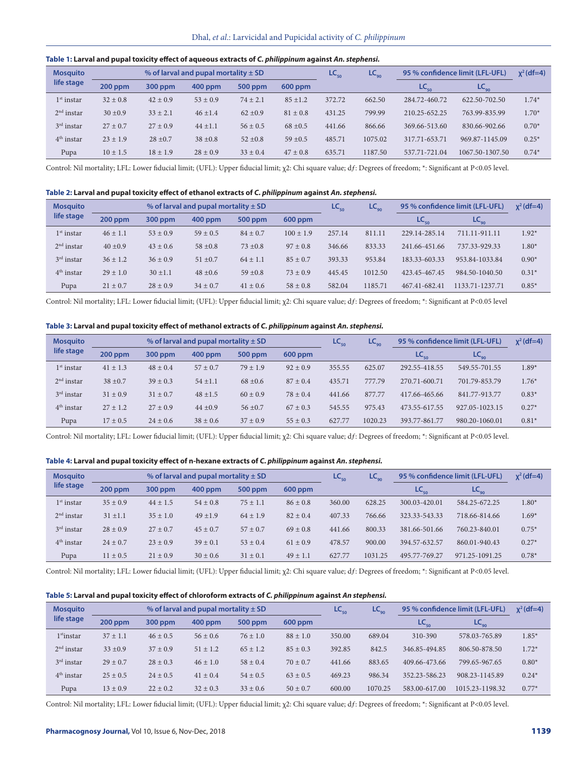#### **Table 1: Larval and pupal toxicity effect of aqueous extracts of** *C. philippinum* **against** *An. stephensi.*

| <b>Mosquito</b> |              |              | % of larval and pupal mortality $\pm$ SD |              |              | $LC_{50}$ | $LC_{90}$ |               | 95 % confidence limit (LFL-UFL) | $x^2$ (df=4) |
|-----------------|--------------|--------------|------------------------------------------|--------------|--------------|-----------|-----------|---------------|---------------------------------|--------------|
| life stage      | 200 ppm      | 300 ppm      | 400 ppm                                  | 500 ppm      | $600$ ppm    |           |           | $LC_{50}$     | $LC_{90}$                       |              |
| $1st$ instar    | $32 \pm 0.8$ | $42 \pm 0.9$ | $53 \pm 0.9$                             | $74 \pm 2.1$ | $85 \pm 1.2$ | 372.72    | 662.50    | 284.72-460.72 | 622.50-702.50                   | $1.74*$      |
| $2nd$ instar    | $30 \pm 0.9$ | $33 \pm 2.1$ | $46 \pm 1.4$                             | $62 \pm 0.9$ | $81 \pm 0.8$ | 431.25    | 799.99    | 210.25-652.25 | 763.99-835.99                   | $1.70*$      |
| $3rd$ instar    | $27 \pm 0.7$ | $27 + 0.9$   | $44 \pm 1.1$                             | $56 \pm 0.5$ | $68 \pm 0.5$ | 441.66    | 866.66    | 369.66-513.60 | 830.66-902.66                   | $0.70*$      |
| $4th$ instar    | $23 \pm 1.9$ | $28 \pm 0.7$ | $38 \pm 0.8$                             | $52 \pm 0.8$ | $59 \pm 0.5$ | 485.71    | 1075.02   | 317.71-653.71 | 969.87-1145.09                  | $0.25*$      |
| Pupa            | $10 \pm 1.5$ | $18 \pm 1.9$ | $28 \pm 0.9$                             | $33 \pm 0.4$ | $47 \pm 0.8$ | 635.71    | 1187.50   | 537.71-721.04 | 1067.50-1307.50                 | $0.74*$      |

Control: Nil mortality; LFL: Lower fiducial limit; (UFL): Upper fiducial limit; χ2: Chi square value; dƒ: Degrees of freedom; \*: Significant at P<0.05 level.

#### **Table 2: Larval and pupal toxicity effect of ethanol extracts of** *C. philippinum* **against** *An. stephensi.*

| <b>Mosquito</b> |              |              | % of larval and pupal mortality $\pm$ SD |              |               | $LC_{50}$ | $LC_{90}$ |               | 95 % confidence limit (LFL-UFL) | $x^2$ (df=4) |
|-----------------|--------------|--------------|------------------------------------------|--------------|---------------|-----------|-----------|---------------|---------------------------------|--------------|
| life stage      | $200$ ppm    | 300 ppm      | $400$ ppm                                | 500 ppm      | $600$ ppm     |           |           | $LC_{50}$     | $LC_{90}$                       |              |
| $1st$ instar    | $46 \pm 1.1$ | $53 \pm 0.9$ | $59 \pm 0.5$                             | $84 \pm 0.7$ | $100 \pm 1.9$ | 257.14    | 811.11    | 229.14-285.14 | 711.11-911.11                   | $1.92*$      |
| $2nd$ instar    | $40 \pm 0.9$ | $43 \pm 0.6$ | $58 \pm 0.8$                             | $73 \pm 0.8$ | $97 \pm 0.8$  | 346.66    | 833.33    | 241.66-451.66 | 737.33-929.33                   | $1.80*$      |
| $3rd$ instar    | $36 \pm 1.2$ | $36 \pm 0.9$ | $51 \pm 0.7$                             | $64 \pm 1.1$ | $85 \pm 0.7$  | 393.33    | 953.84    | 183.33-603.33 | 953.84-1033.84                  | $0.90*$      |
| $4th$ instar    | $29 \pm 1.0$ | $30 \pm 1.1$ | $48 \pm 0.6$                             | $59 \pm 0.8$ | $73 + 0.9$    | 445.45    | 1012.50   | 423.45-467.45 | 984.50-1040.50                  | $0.31*$      |
| Pupa            | $21 \pm 0.7$ | $28 \pm 0.9$ | $34 \pm 0.7$                             | $41 \pm 0.6$ | $58 \pm 0.8$  | 582.04    | 1185.71   | 467.41-682.41 | 1133.71-1237.71                 | $0.85*$      |

Control: Nil mortality; LFL: Lower fiducial limit; (UFL): Upper fiducial limit; χ2: Chi square value; df: Degrees of freedom; \*: Significant at P<0.05 level

### **Table 3: Larval and pupal toxicity effect of methanol extracts of** *C. philippinum* **against** *An. stephensi.*

| <b>Mosquito</b> |              |              | % of larval and pupal mortality $\pm$ SD |              |              | $LC_{50}$ | $LC_{90}$ |               | 95 % confidence limit (LFL-UFL) | $x^2$ (df=4) |
|-----------------|--------------|--------------|------------------------------------------|--------------|--------------|-----------|-----------|---------------|---------------------------------|--------------|
| life stage      | $200$ ppm    | 300 ppm      | $400$ ppm                                | 500 ppm      | $600$ ppm    |           |           | $LC_{50}$     | $LC_{90}$                       |              |
| $1st$ instar    | $41 \pm 1.3$ | $48 \pm 0.4$ | $57 + 0.7$                               | $79 + 1.9$   | $92 \pm 0.9$ | 355.55    | 625.07    | 292.55-418.55 | 549.55-701.55                   | $1.89*$      |
| $2nd$ instar    | $38 \pm 0.7$ | $39 \pm 0.3$ | $54 \pm 1.1$                             | $68 \pm 0.6$ | $87 \pm 0.4$ | 435.71    | 777.79    | 270.71-600.71 | 701.79-853.79                   | $1.76*$      |
| $3rd$ instar    | $31 \pm 0.9$ | $31 \pm 0.7$ | $48 \pm 1.5$                             | $60 \pm 0.9$ | $78 + 0.4$   | 441.66    | 877.77    | 417.66-465.66 | 841.77-913.77                   | $0.83*$      |
| $4th$ instar    | $27 \pm 1.2$ | $27 \pm 0.9$ | $44 \pm 0.9$                             | $56 \pm 0.7$ | $67 \pm 0.3$ | 545.55    | 975.43    | 473.55-617.55 | 927.05-1023.15                  | $0.27*$      |
| Pupa            | $17 \pm 0.5$ | $24 \pm 0.6$ | $38 \pm 0.6$                             | $37 \pm 0.9$ | $55 \pm 0.3$ | 627.77    | 1020.23   | 393.77-861.77 | 980.20-1060.01                  | $0.81*$      |

Control: Nil mortality; LFL: Lower fiducial limit; (UFL): Upper fiducial limit; χ2: Chi square value; dƒ: Degrees of freedom; \*: Significant at P<0.05 level.

#### **Table 4: Larval and pupal toxicity effect of n-hexane extracts of** *C. philippinum* **against** *An. stephensi.*

| <b>Mosquito</b> |              |              | % of larval and pupal mortality $\pm$ SD |              |              | $LC_{50}$ | $LC_{90}$ |                             | 95 % confidence limit (LFL-UFL) | $x^2$ (df=4) |
|-----------------|--------------|--------------|------------------------------------------|--------------|--------------|-----------|-----------|-----------------------------|---------------------------------|--------------|
| life stage      | $200$ ppm    | 300 ppm      | 400 ppm                                  | 500 ppm      | $600$ ppm    |           |           | $\mathsf{LC}_{\mathsf{so}}$ | $LC_{q_0}$                      |              |
| $1st$ instar    | $35 \pm 0.9$ | $44 \pm 1.5$ | $54 \pm 0.8$                             | $75 \pm 1.1$ | $86 \pm 0.8$ | 360.00    | 628.25    | 300.03-420.01               | 584.25-672.25                   | $1.80*$      |
| $2nd$ instar    | $31 \pm 1.1$ | $35 \pm 1.0$ | $49 + 1.9$                               | $64 \pm 1.9$ | $82 \pm 0.4$ | 407.33    | 766.66    | 323.33-543.33               | 718.66-814.66                   | $1.69*$      |
| $3rd$ instar    | $28 \pm 0.9$ | $27 + 0.7$   | $45 + 0.7$                               | $57 + 0.7$   | $69 + 0.8$   | 441.66    | 800.33    | 381.66-501.66               | 760.23-840.01                   | $0.75*$      |
| $4th$ instar    | $24 \pm 0.7$ | $23 + 0.9$   | $39 \pm 0.1$                             | $53 \pm 0.4$ | $61 \pm 0.9$ | 478.57    | 900.00    | 394.57-632.57               | 860.01-940.43                   | $0.27*$      |
| Pupa            | $11 \pm 0.5$ | $21 \pm 0.9$ | $30 \pm 0.6$                             | $31 \pm 0.1$ | $49 \pm 1.1$ | 627.77    | 1031.25   | 495.77-769.27               | 971.25-1091.25                  | $0.78*$      |

Control: Nil mortality; LFL: Lower fiducial limit; (UFL): Upper fiducial limit; χ2: Chi square value; dƒ: Degrees of freedom; \*: Significant at P<0.05 level.

### **Table 5: Larval and pupal toxicity effect of chloroform extracts of** *C. philippinum* **against** *An stephensi.*

| <b>Mosquito</b>        |              |              | % of larval and pupal mortality $\pm$ SD |              |              | $LC_{50}$ | LC <sub>on</sub> |                             | 95 % confidence limit (LFL-UFL) | $x^2$ (df=4) |
|------------------------|--------------|--------------|------------------------------------------|--------------|--------------|-----------|------------------|-----------------------------|---------------------------------|--------------|
| life stage             | 200 ppm      | 300 ppm      | 400 ppm                                  | 500 ppm      | $600$ ppm    |           |                  | $\mathsf{LC}_{\mathsf{so}}$ | $LC_{90}$                       |              |
| 1 <sup>st</sup> instar | $37 \pm 1.1$ | $46 \pm 0.5$ | $56 \pm 0.6$                             | $76 \pm 1.0$ | $88 \pm 1.0$ | 350.00    | 689.04           | 310-390                     | 578.03-765.89                   | $1.85*$      |
| $2nd$ instar           | $33 \pm 0.9$ | $37 + 0.9$   | $51 + 1.2$                               | $65 + 1.2$   | $85 + 0.3$   | 392.85    | 842.5            | 346.85-494.85               | 806.50-878.50                   | $1.72*$      |
| $3rd$ instar           | $29 \pm 0.7$ | $28 \pm 0.3$ | $46 \pm 1.0$                             | $58 \pm 0.4$ | $70 \pm 0.7$ | 441.66    | 883.65           | 409.66-473.66               | 799.65-967.65                   | $0.80*$      |
| $4th$ instar           | $25 \pm 0.5$ | $24 \pm 0.5$ | $41 \pm 0.4$                             | $54 \pm 0.5$ | $63 \pm 0.5$ | 469.23    | 986.34           | 352.23-586.23               | 908.23-1145.89                  | $0.24*$      |
| Pupa                   | $13 \pm 0.9$ | $22 \pm 0.2$ | $32 \pm 0.3$                             | $33 \pm 0.6$ | $50 \pm 0.7$ | 600.00    | 1070.25          | 583.00-617.00               | 1015.23-1198.32                 | $0.77*$      |

Control: Nil mortality; LFL: Lower fiducial limit; (UFL): Upper fiducial limit; χ2: Chi square value; dƒ: Degrees of freedom; \*: Significant at P<0.05 level.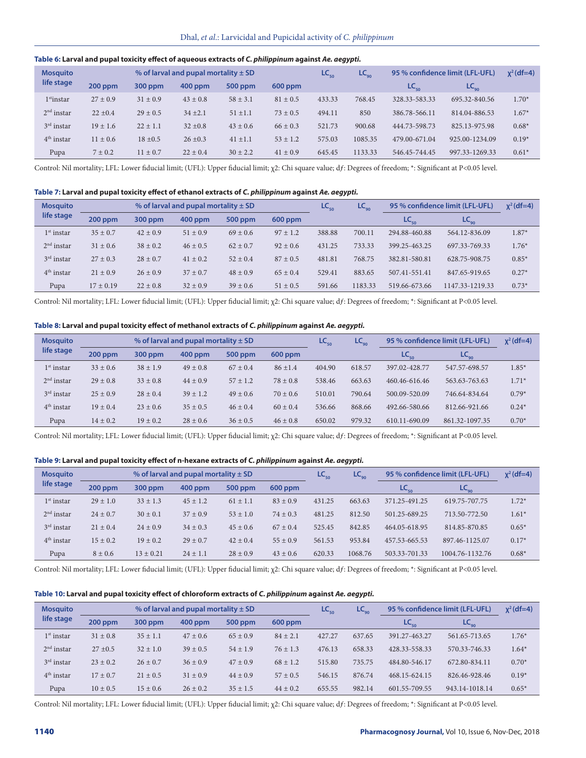#### **Table 6: Larval and pupal toxicity effect of aqueous extracts of** *C. philippinum* **against** *Ae. aegypti.*

| <b>Mosquito</b> |              |              | % of larval and pupal mortality $\pm$ SD |              |              | $LC_{50}$ | $LC_{90}$ | 95 % confidence limit (LFL-UFL) | $x^2$ (df=4)        |         |
|-----------------|--------------|--------------|------------------------------------------|--------------|--------------|-----------|-----------|---------------------------------|---------------------|---------|
| life stage      | $200$ ppm    | 300 ppm      | 400 ppm                                  | 500 ppm      | $600$ ppm    |           |           | $LC_{\epsilon_0}$               | $LC_{\alpha\alpha}$ |         |
| $1st$ instar    | $27 \pm 0.9$ | $31 \pm 0.9$ | $43 \pm 0.8$                             | $58 \pm 3.1$ | $81 \pm 0.5$ | 433.33    | 768.45    | 328.33-583.33                   | 695.32-840.56       | $1.70*$ |
| $2nd$ instar    | $22 \pm 0.4$ | $29 \pm 0.5$ | $34 \pm 2.1$                             | $51 \pm 1.1$ | $73 \pm 0.5$ | 494.11    | 850       | 386.78-566.11                   | 814.04-886.53       | $1.67*$ |
| $3rd$ instar    | $19 \pm 1.6$ | $22 \pm 1.1$ | $32 \pm 0.8$                             | $43 \pm 0.6$ | $66 \pm 0.3$ | 521.73    | 900.68    | 444.73-598.73                   | 825.13-975.98       | $0.68*$ |
| $4th$ instar    | $11 \pm 0.6$ | $18 \pm 0.5$ | $26 \pm 0.3$                             | $41 \pm 1.1$ | $53 \pm 1.2$ | 575.03    | 1085.35   | 479.00-671.04                   | 925.00-1234.09      | $0.19*$ |
| Pupa            | $7 \pm 0.2$  | $11 \pm 0.7$ | $22 \pm 0.4$                             | $30 \pm 2.2$ | $41 \pm 0.9$ | 645.45    | 1133.33   | 546.45-744.45                   | 997.33-1269.33      | $0.61*$ |

Control: Nil mortality; LFL: Lower fiducial limit; (UFL): Upper fiducial limit; χ2: Chi square value; dƒ: Degrees of freedom; \*: Significant at P<0.05 level.

#### **Table 7: Larval and pupal toxicity effect of ethanol extracts of** *C. philippinum* **against** *Ae. aegypti.*

| <b>Mosquito</b> |               |              | % of larval and pupal mortality $\pm$ SD |              |              | $LC_{50}$ | $LC_{g_0}$ |               | 95 % confidence limit (LFL-UFL) | $x^2$ (df=4) |
|-----------------|---------------|--------------|------------------------------------------|--------------|--------------|-----------|------------|---------------|---------------------------------|--------------|
| life stage      | 200 ppm       | 300 ppm      | $400$ ppm                                | 500 ppm      | $600$ ppm    |           |            | $LC_{50}$     | $LC_{90}$                       |              |
| $1st$ instar    | $35 \pm 0.7$  | $42 \pm 0.9$ | $51 \pm 0.9$                             | $69 \pm 0.6$ | $97 \pm 1.2$ | 388.88    | 700.11     | 294.88-460.88 | 564.12-836.09                   | $1.87*$      |
| $2nd$ instar    | $31 \pm 0.6$  | $38 \pm 0.2$ | $46 \pm 0.5$                             | $62 \pm 0.7$ | $92 \pm 0.6$ | 431.25    | 733.33     | 399.25-463.25 | 697.33-769.33                   | $1.76*$      |
| $3rd$ instar    | $27 \pm 0.3$  | $28 \pm 0.7$ | $41 \pm 0.2$                             | $52 \pm 0.4$ | $87 + 0.5$   | 481.81    | 768.75     | 382.81-580.81 | 628.75-908.75                   | $0.85*$      |
| $4th$ instar    | $21 \pm 0.9$  | $26 \pm 0.9$ | $37 \pm 0.7$                             | $48 \pm 0.9$ | $65 \pm 0.4$ | 529.41    | 883.65     | 507.41-551.41 | 847.65-919.65                   | $0.27*$      |
| Pupa            | $17 \pm 0.19$ | $22 \pm 0.8$ | $32 \pm 0.9$                             | $39 \pm 0.6$ | $51 \pm 0.5$ | 591.66    | 1183.33    | 519.66-673.66 | 1147.33-1219.33                 | $0.73*$      |

Control: Nil mortality; LFL: Lower fiducial limit; (UFL): Upper fiducial limit; χ2: Chi square value; dƒ: Degrees of freedom; \*: Significant at P<0.05 level.

#### **Table 8: Larval and pupal toxicity effect of methanol extracts of** *C. philippinum* **against** *Ae. aegypti.*

| <b>Mosquito</b>        |              |              | % of larval and pupal mortality $\pm$ SD |              |              | $\mathsf{LC}_{\mathsf{50}}$ | $LC_{90}$ |               | 95 % confidence limit (LFL-UFL) | $x^2$ (df=4) |
|------------------------|--------------|--------------|------------------------------------------|--------------|--------------|-----------------------------|-----------|---------------|---------------------------------|--------------|
| life stage             | $200$ ppm    | 300 ppm      | $400$ ppm                                | 500 ppm      | $600$ ppm    |                             |           | $LC_{50}$     | $LC_{90}$                       |              |
| $1st$ instar           | $33 \pm 0.6$ | $38 \pm 1.9$ | $49 \pm 0.8$                             | $67 \pm 0.4$ | $86 \pm 1.4$ | 404.90                      | 618.57    | 397.02-428.77 | 547.57-698.57                   | $1.85*$      |
| 2 <sup>nd</sup> instar | $29 \pm 0.8$ | $33 \pm 0.8$ | $44 \pm 0.9$                             | $57 \pm 1.2$ | $78 \pm 0.8$ | 538.46                      | 663.63    | 460.46-616.46 | 563.63-763.63                   | $1.71*$      |
| $3rd$ instar           | $25 \pm 0.9$ | $28 \pm 0.4$ | $39 \pm 1.2$                             | $49 \pm 0.6$ | $70 \pm 0.6$ | 510.01                      | 790.64    | 500.09-520.09 | 746.64-834.64                   | $0.79*$      |
| $4th$ instar           | $19 \pm 0.4$ | $23 \pm 0.6$ | $35 \pm 0.5$                             | $46 \pm 0.4$ | $60 \pm 0.4$ | 536.66                      | 868.66    | 492.66-580.66 | 812.66-921.66                   | $0.24*$      |
| Pupa                   | $14 \pm 0.2$ | $19 \pm 0.2$ | $28 \pm 0.6$                             | $36 \pm 0.5$ | $46 \pm 0.8$ | 650.02                      | 979.32    | 610.11-690.09 | 861.32-1097.35                  | $0.70*$      |

Control: Nil mortality; LFL: Lower fiducial limit; (UFL): Upper fiducial limit; χ2: Chi square value; dƒ: Degrees of freedom; \*: Significant at P<0.05 level.

#### **Table 9: Larval and pupal toxicity effect of n-hexane extracts of** *C. philippinum* **against** *Ae. aegypti.*

| <b>Mosquito</b> |              |               | % of larval and pupal mortality $\pm$ SD |              |              | $LC_{50}$ | $LC_{90}$ |                   | 95 % confidence limit (LFL-UFL) | $x^2$ (df=4) |
|-----------------|--------------|---------------|------------------------------------------|--------------|--------------|-----------|-----------|-------------------|---------------------------------|--------------|
| life stage      | $200$ ppm    | 300 ppm       | $400$ ppm                                | 500 ppm      | $600$ ppm    |           |           | $LC_{\epsilon_0}$ | $\mathsf{LC}_\mathsf{qg}$       |              |
| $1st$ instar    | $29 \pm 1.0$ | $33 \pm 1.3$  | $45 \pm 1.2$                             | $61 \pm 1.1$ | $83 \pm 0.9$ | 431.25    | 663.63    | 371.25-491.25     | 619.75-707.75                   | $1.72*$      |
| $2nd$ instar    | $24 \pm 0.7$ | $30 \pm 0.1$  | $37 \pm 0.9$                             | $53 \pm 1.0$ | $74 \pm 0.3$ | 481.25    | 812.50    | 501.25-689.25     | 713.50-772.50                   | $1.61*$      |
| $3rd$ instar    | $21 \pm 0.4$ | $24 \pm 0.9$  | $34 \pm 0.3$                             | $45 \pm 0.6$ | $67 \pm 0.4$ | 525.45    | 842.85    | 464.05-618.95     | 814.85-870.85                   | $0.65*$      |
| $4th$ instar    | $15 \pm 0.2$ | $19 + 0.2$    | $29 \pm 0.7$                             | $42 \pm 0.4$ | $55 + 0.9$   | 561.53    | 953.84    | 457.53-665.53     | 897.46-1125.07                  | $0.17*$      |
| Pupa            | $8 \pm 0.6$  | $13 \pm 0.21$ | $24 \pm 1.1$                             | $28 \pm 0.9$ | $43 \pm 0.6$ | 620.33    | 1068.76   | 503.33-701.33     | 1004.76-1132.76                 | $0.68*$      |

Control: Nil mortality; LFL: Lower fiducial limit; (UFL): Upper fiducial limit; χ2: Chi square value; dƒ: Degrees of freedom; \*: Significant at P<0.05 level.

### **Table 10: Larval and pupal toxicity effect of chloroform extracts of** *C. philippinum* **against** *Ae. aegypti.*

| <b>Mosquito</b>        |              |              | % of larval and pupal mortality $\pm$ SD |              |              | $LC_{50}$ | $LC_{90}$ |               | 95 % confidence limit (LFL-UFL) | $x^2$ (df=4) |
|------------------------|--------------|--------------|------------------------------------------|--------------|--------------|-----------|-----------|---------------|---------------------------------|--------------|
| life stage             | $200$ ppm    | 300 ppm      | 400 ppm                                  | 500 ppm      | $600$ ppm    |           |           | $LC_{50}$     | $LC_{q_0}$                      |              |
| $1st$ instar           | $31 \pm 0.8$ | $35 + 1.1$   | $47 \pm 0.6$                             | $65 \pm 0.9$ | $84 \pm 2.1$ | 427.27    | 637.65    | 391.27-463.27 | 561.65-713.65                   | $1.76*$      |
| 2 <sup>nd</sup> instar | $27 \pm 0.5$ | $32 \pm 1.0$ | $39 \pm 0.5$                             | $54 \pm 1.9$ | $76 + 1.3$   | 476.13    | 658.33    | 428.33-558.33 | 570.33-746.33                   | $1.64*$      |
| $3rd$ instar           | $23 \pm 0.2$ | $26 \pm 0.7$ | $36 \pm 0.9$                             | $47 \pm 0.9$ | $68 \pm 1.2$ | 515.80    | 735.75    | 484.80-546.17 | 672.80-834.11                   | $0.70*$      |
| $4th$ instar           | $17 \pm 0.7$ | $21 \pm 0.5$ | $31 \pm 0.9$                             | $44 \pm 0.9$ | $57 + 0.5$   | 546.15    | 876.74    | 468.15-624.15 | 826.46-928.46                   | $0.19*$      |
| Pupa                   | $10 \pm 0.5$ | $15 \pm 0.6$ | $26 \pm 0.2$                             | $35 \pm 1.5$ | $44 \pm 0.2$ | 655.55    | 982.14    | 601.55-709.55 | 943.14-1018.14                  | $0.65*$      |

Control: Nil mortality; LFL: Lower fiducial limit; (UFL): Upper fiducial limit; χ2: Chi square value; dƒ: Degrees of freedom; \*: Significant at P<0.05 level.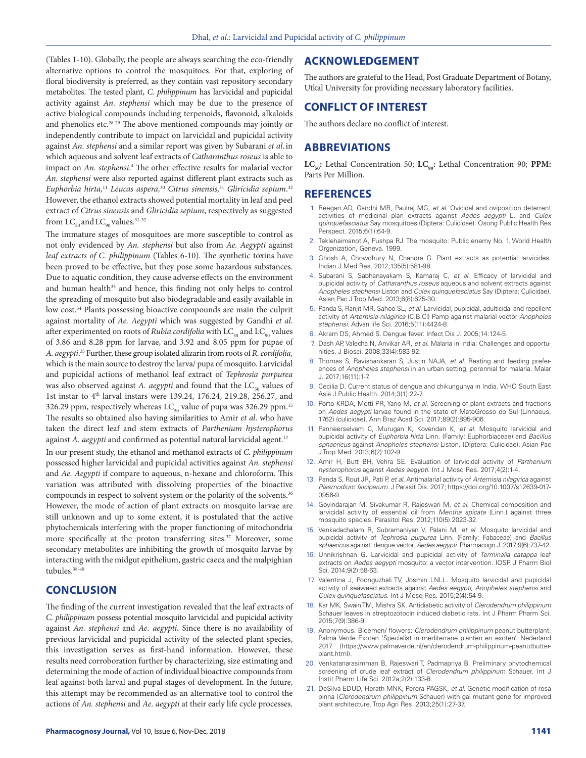(Tables 1-10). Globally, the people are always searching the eco-friendly alternative options to control the mosquitoes. For that, exploring of floral biodiversity is preferred, as they contain vast repository secondary metabolites. The tested plant, *C. philippinum* has larvicidal and pupicidal activity against *An. stephensi* which may be due to the presence of active biological compounds including terpenoids, flavonoid, alkaloids and phenolics etc.28-29 The above mentioned compounds may jointly or independently contribute to impact on larvicidal and pupicidal activity against *An. stephensi* and a similar report was given by Subarani *et al*. in which aqueous and solvent leaf extracts of *Catharanthus roseus* is able to impact on *An. stephensi*. 4 The other effective results for malarial vector *An. stephensi* were also reported against different plant extracts such as *Euphorbia hirta,*<sup>11</sup> *Leucas aspera,*<sup>30</sup> *Citrus sinensis,*<sup>31</sup> *Gliricidia sepium*. 32 However, the ethanol extracts showed potential mortality in leaf and peel extract of *Citrus sinensis* and *Gliricidia sepium*, respectively as suggested from  $\rm LC_{50}$  and  $\rm LC_{90}$  values.  $^{31\text{-}32}$ 

The immature stages of mosquitoes are more susceptible to control as not only evidenced by *An. stephensi* but also from *Ae. Aegypti* against *leaf extracts of C. philippinum* (Tables 6-10). The synthetic toxins have been proved to be effective, but they pose some hazardous substances. Due to aquatic condition, they cause adverse effects on the environment and human health<sup>33</sup> and hence, this finding not only helps to control the spreading of mosquito but also biodegradable and easily available in low cost.<sup>34</sup> Plants possessing bioactive compounds are main the culprit against mortality of *Ae. Aegypti* which was suggested by Gandhi *et al*. after experimented on roots of *Rubia cordifolia* with LC<sub>50</sub> and LC<sub>90</sub> values of 3.86 and 8.28 ppm for larvae, and 3.92 and 8.05 ppm for pupae of *A. aegypti*. 35 Further, these group isolated alizarin from roots of *R. cordifolia,*  which is the main source to destroy the larva/ pupa of mosquito. Larvicidal and pupicidal actions of methanol leaf extract of *Tephrosia purpurea* was also observed against *A. aegypti* and found that the LC<sub>50</sub> values of 1st instar to 4<sup>th</sup> larval instars were 139.24, 176.24, 219.28, 256.27, and 326.29 ppm, respectively whereas  $LC_{50}$  value of pupa was 326.29 ppm.<sup>15</sup> The results so obtained also having similarities to Amir *et al*. who have taken the direct leaf and stem extracts of *Parthenium hysterophorus*  against *A. aegypti* and confirmed as potential natural larvicidal agent.<sup>12</sup>

In our present study, the ethanol and methanol extracts of *C. philippinum* possessed higher larvicidal and pupicidal activities against *An. stephensi* and *Ae. Aegypti* if compare to aqueous, n-hexane and chloroform. This variation was attributed with dissolving properties of the bioactive compounds in respect to solvent system or the polarity of the solvents.<sup>36</sup> However, the mode of action of plant extracts on mosquito larvae are still unknown and up to some extent, it is postulated that the active phytochemicals interfering with the proper functioning of mitochondria more specifically at the proton transferring sites.<sup>37</sup> Moreover, some secondary metabolites are inhibiting the growth of mosquito larvae by interacting with the midgut epithelium, gastric caeca and the malpighian tubules.<sup>38-40</sup>

### **CONCLUSION**

The finding of the current investigation revealed that the leaf extracts of *C. philippinum* possess potential mosquito larvicidal and pupicidal activity against *An. stephensi* and *Ae. aegypti*. Since there is no availability of previous larvicidal and pupicidal activity of the selected plant species, this investigation serves as first-hand information. However, these results need corroboration further by characterizing, size estimating and determining the mode of action of individual bioactive compounds from leaf against both larval and pupal stages of development. In the future, this attempt may be recommended as an alternative tool to control the actions of *An. stephensi* and *Ae. aegypti* at their early life cycle processes.

### **ACKNOWLEDGEMENT**

The authors are grateful to the Head, Post Graduate Department of Botany, Utkal University for providing necessary laboratory facilities.

### **CONFLICT OF INTEREST**

The authors declare no conflict of interest.

### **ABBREVIATIONS**

LC<sub>50</sub>: Lethal Concentration 50; LC<sub>90</sub>: Lethal Concentration 90; PPM: Parts Per Million.

### **REFERENCES**

- 1. Reegan AD, Gandhi MR, Paulraj MG, *et al*. Ovicidal and oviposition deterrent activities of medicinal plan extracts against *Aedes aegypti* L. and *Culex quinquefasciatus* Say mosquitoes (Diptera: Culicidae). Osong Public Health Res Perspect. 2015;6(1):64-9.
- 2. Teklehaimanot A, Pushpa RJ. The mosquito: Public enemy No. 1. World Health Organization, Geneva. 1999.
- 3. Ghosh A, Chowdhury N, Chandra G. Plant extracts as potential larvicides. Indian J Med Res. 2012;135(5):581-98.
- 4. Subarani S, Sabhanayakam S, Kamaraj C, *et al*. Efficacy of larvicidal and pupicidal activity of *Catharanthus roseus* aqueous and solvent extracts against *Anopheles stephensi* Liston and *Culex quinquefasciatus* Say (Diptera: Culicidae). Asian Pac J Trop Med. 2013;6(8):625-30.
- 5. Panda S, Ranjit MR, Sahoo SL, *et al*. Larvicidal, pupicidal, adulticidal and repellent activity of *Artemisia nilagirica* (C.B.Cl) Pamp against malarial vector *Anopheles stephensi*. Advan life Sci. 2016;5(11):4424-8.
- 6. Akram DS, Ahmed S. Dengue fever. Infect Dis J. 2005;14:124-5.
- 7. Dash AP, Valecha N, Anvikar AR, *et al*. Malaria in India: Challenges and opportunities. J Biosci. 2008;33(4):583-92.
- 8. Thomas S, Ravishankaran S, Justin NAJA, *et al*. Resting and feeding preferences of *Anopheles stephensi* in an urban setting, perennial for malaria. Malar J. 2017;16(11):1-7.
- 9. Cecilia D. Current status of dengue and chikungunya in India. WHO South East Asia J Public Health. 2014;3(1):22-7.
- 10. Porto KRDA, Motti PR, Yano M, *et al*. Screening of plant extracts and fractions on *Aedes aegypti* larvae found in the state of MatoGrosso do Sul (Linnaeus, 1762) (culicidae). Ann Braz Acad Sci. 2017;89(2):895-906.
- 11. Panneerselvam C, Murugan K, Kovendan K, *et al*. Mosquito larvicidal and pupicidal activity of *Euphorbia hirta* Linn. (Family: Euphorbiaceae) and *Bacillus sphaericus* against *Anopheles stephensi* Liston. (Diptera: Culicidae). Asian Pac J Trop Med. 2013;6(2):102-9.
- 12. Amir H, Butt BH, Vehra SE. Evaluation of larvicidal activity of *Parthenium hysterophorus* against *Aedes aegypti*. Int J Mosq Res. 2017;4(2):1-4.
- 13. Panda S, Rout JR, Pati P, *et al*. Antimalarial activity of *Artemisia nilagirica* against *Plasmodium falciparum*. J Parasit Dis. 2017; https://doi.org/10.1007/s12639-017- 0956-9.
- 14. Govindarajan M, Sivakumar R, Rajeswari M, *et al*. Chemical composition and larvicidal activity of essential oil from *Mentha spicata* (Linn.) against three mosquito species. Parasitol Res. 2012;110(5):2023-32.
- 15. Venkadachalam R, Subramaniyan V, Palani M, *et al*. Mosquito larvicidal and pupicidal activity of *Tephrosia purpurea* Linn. (Family: Fabaceae) and *Bacillus sphaericus* against, dengue vector, *Aedes aegypti*. Pharmacogn J. 2017;9(6):737-42.
- 16. Unnikrishnan G. Larvicidal and pupicidal activity of *Terminalia catappa* leaf extracts on *Aedes aegypti* mosquito: a vector intervention. IOSR J Pharm Biol Sci. 2014;9(2):58-63.
- 17. Valentina J, Poonguzhali TV, Josmin LNLL. Mosquito larvicidal and pupicidal activity of seaweed extracts against *Aedes aegypti*, *Anopheles stephensi* and *Culex quinquefasciatus*. Int J Mosq Res. 2015;2(4):54-9.
- 18. Kar MK, Swain TM, Mishra SK. Antidiabetic activity of *Clerodendrum philippinum*  Schauer leaves in streptozotocin induced diabetic rats. Int J Pharm Pharm Sci. 2015;7(9):386-9.
- 19. Anonymous. Bloemen/ flowers: *Clerodendrum philippinum*-peanut butterplant. Palma Verde Exoten 'Specialist in mediterrane planten en exoten'. Nederland 2017. (https://www.palmaverde.nl/en/clerodendrum-philippinum-peanutbutterplant.html).
- 20. Venkatanarasimman B, Rajeswari T, Padmapriya B. Preliminary phytochemical screening of crude leaf extract of *Clerodendrum philippinum* Schauer. Int J Instit Pharm Life Sci. 2012a;2(2):133-8.
- 21. DeSilva EDUD, Herath MNK, Perera PAGSK, *et al*. Genetic modification of rosa pinna (*Clerodendrum philippinum* Schauer) with gai mutant gene for improved plant architecture. Trop Agri Res. 2013;25(1):27-37.